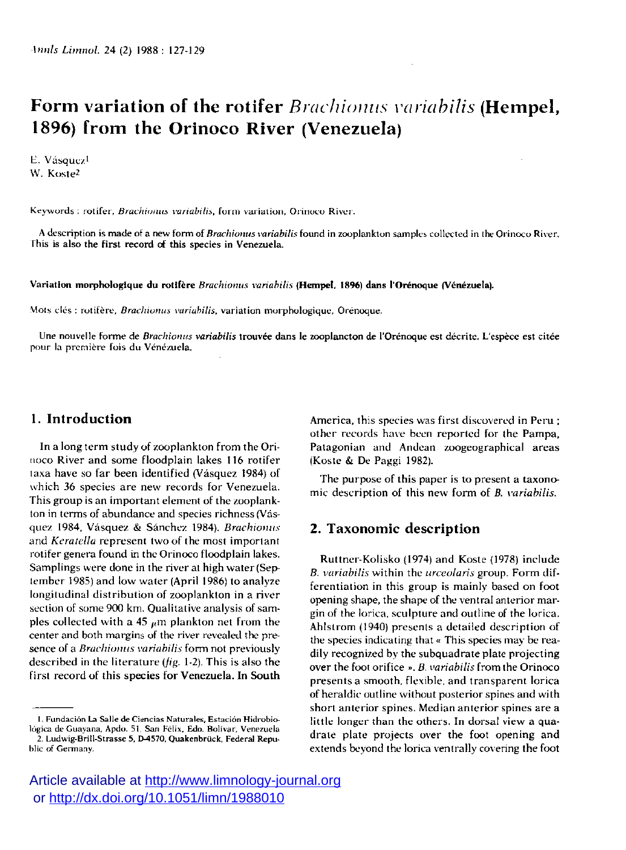# **Form variation of the rotifer** *Brachiomis variabilis* **(Hempel, 1896) from the Orinoco River (Venezuela)**

E. Vásquez<sup>1</sup> W. Koste<sup>2</sup>

Keywords : rotifer, *Brachiunus variabilis,* form variation, Orinoco River.

A description is made of a new form of *Brachionus variabilis* found in zooplankton samples collected in the Orinoco River. This is also the first record of this species in Venezuela.

Variation morphologique du rotlfère *Brachionus variabilis* **(Hempel, 1896)** dans l'Orénoque (Venezuela).

Mois clés : rot if ère, *Brachionus variabilis,* variation morphologique, Orénoque.

Une nouvelle forme de *Brachionus variabilis* trouvée dans le zooplancton de l'Orénoque est décrite. L'espèce est citée **pour** la première fois du Venezuela.

## **1. Introduction**

In a long term study of zooplankton from the Orinoco River and some floodplain lakes 116 rotifer laxa have so far been identified (Vâsquez 1984) of which 36 species are new records for Venezuela. This group is an important element of the zooplankton in terms of abundance and species richness (Vâsquez 1984, Vâsquez & Sanchez 1984). *Brachionus*  and *Keratella* represent two of the most important rotifer genera found in the Orinoco floodplain lakes. Samplings were done in the river at high water (September 1985) and low water (April 1986) to analyze longitudinal distribution of zooplankton in a river section of some 900 km. Qualitative analysis of samples collected with a 45  $<sub>μ</sub>$ *m* plankton net from the</sub> center and both margins of the river revealed the presence of a *Brachionus variabilis* form not previously described in the literature *(fig.* 1-2). This is also the first record of this species for Venezuela. In South

**1. Fundaciôn La Salle de Ciencias Naturales, Estacion Hidrobiologica de Guayana, Apdo. 51, San Félix, Edo. Bolivar. Venezuela** 

America, this species was first discovered in Peru ; other records have been reported for the Pampa, Patagonian and Andean zoogeographical areas (Koste & De Paggi 1982).

The purpose of this paper is to present a taxonomic description of this new form of *B. variabilis.* 

### **2. Taxonomic description**

Ruttner-Kolisko (1974) and Koste (1978) include *B. variabilis* within the *urceolaris* group. Form differentiation in this group is mainly based on foot opening shape, the shape of the ventral anterior margin of the lorica, sculpture and outline of the lorica. Ahlstrom (1940) presents a detailed description of the species indicating that « This species may be readily recognized by the subquadrate plate projecting over the foot orifice » . *B. variabilis* from the Orinoco presents a smooth, flexible, and transparent lorica of heraldic outline without posterior spines and with short anterior spines. Median anterior spines are a little longer than the others. In dorsal view a quadrate plate projects over the foot opening and extends beyond the lorica ventrally covering the foot

<sup>2.</sup> Ludwig-Brill-Strasse 5, D-4570, Quakenbrück, Federal Repu**blic of Germany.**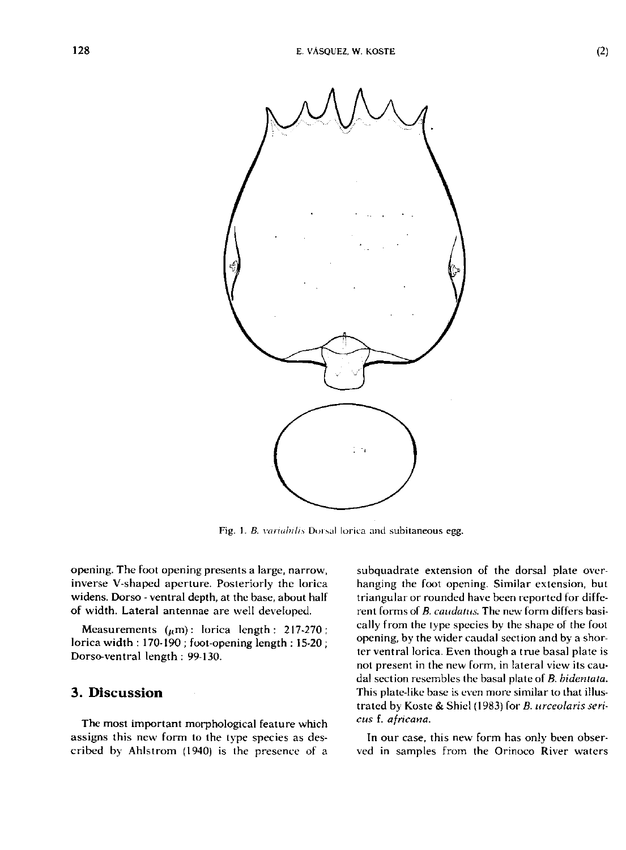

**Fig.** 1. *B. variabilis* **Dorsal lorica and subitaneous egg.** 

opening. The foot opening presents a large, narrow, inverse V-shaped aperture. Posteriorly the lorica widens. Dorso - ventral depth, at the base, about half of width. Lateral antennae are well developed.

Measurements  $(\mu m)$ : lorica length : 217-270 ; lorica width : 170-190 ; foot-opening length : 15-20 ; Dorso-ventral length : 99-130.

### **3. Discussion**

The most important morphological feature which assigns this new form to the type species as described by Ahlstrom (1940) is the presence of a

subquadrate extension of the dorsal plate overhanging the foot opening. Similar extension, but triangular or rounded have been reported for different forms of *B. caudaius.* The new form differs basically from the type species by the shape of the foot opening, by the wider caudal section and by a shorter ventral lorica. Even though a true basal plate is not present in the new form, in lateral view its caudal section resembles the basal plate of *B. bidentata.*  This plate-like base is even more similar to that illustrated by Koste & Shiel (1983) for *B. urceolaris serieus* f. *africana.* 

In our case, this new form has only been observed in samples from the Orinoco River waters